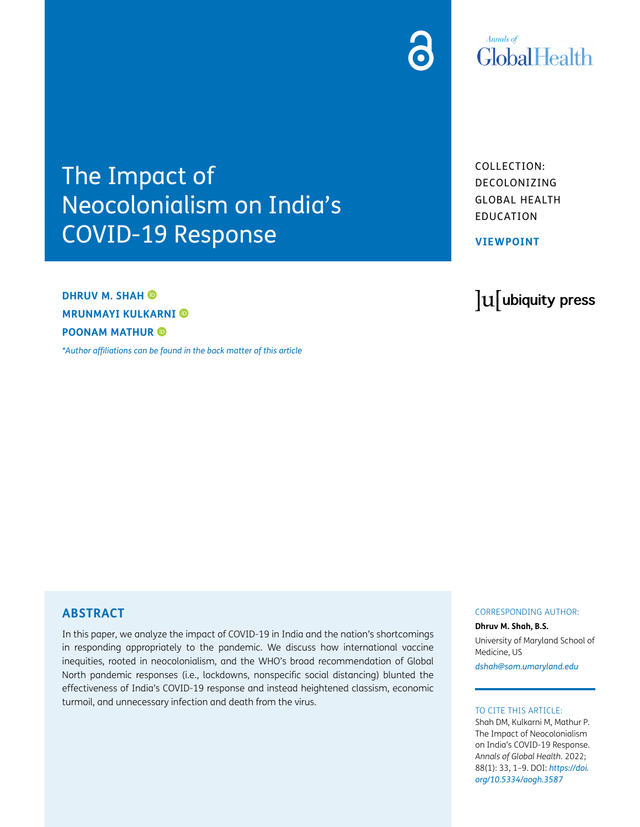

# **Annals** of GlobalHealth

The Impact of Neocolonialism on India's COVID-19 Response

**DHRUV M. SHAH MRUNMAYI KULKARNI POONAM MATHUR**

*[\\*Author affiliations can be found in the back matter of this article](#page-6-0)*

COLLECTION: DECOLONIZING GLOBAL HEALTH EDUCATION

**VIEWPOINT**

# lu ubiquity press

#### **ABSTRACT**

In this paper, we analyze the impact of COVID-19 in India and the nation's shortcomings in responding appropriately to the pandemic. We discuss how international vaccine inequities, rooted in neocolonialism, and the WHO's broad recommendation of Global North pandemic responses (i.e., lockdowns, nonspecific social distancing) blunted the effectiveness of India's COVID-19 response and instead heightened classism, economic turmoil, and unnecessary infection and death from the virus.

#### CORRESPONDING AUTHOR:

**Dhruv M. Shah, B.S.**

University of Maryland School of Medicine, US

*[dshah@som.umaryland.edu](mailto:dshah@som.umaryland.edu)*

#### TO CITE THIS ARTICLE:

Shah DM, Kulkarni M, Mathur P. The Impact of Neocolonialism on India's COVID-19 Response. *Annals of Global Health*. 2022; 88(1): 33, 1–9. DOI: *[https://doi.](https://doi.org/10.5334/aogh.3587) [org/10.5334/aogh.3587](https://doi.org/10.5334/aogh.3587)*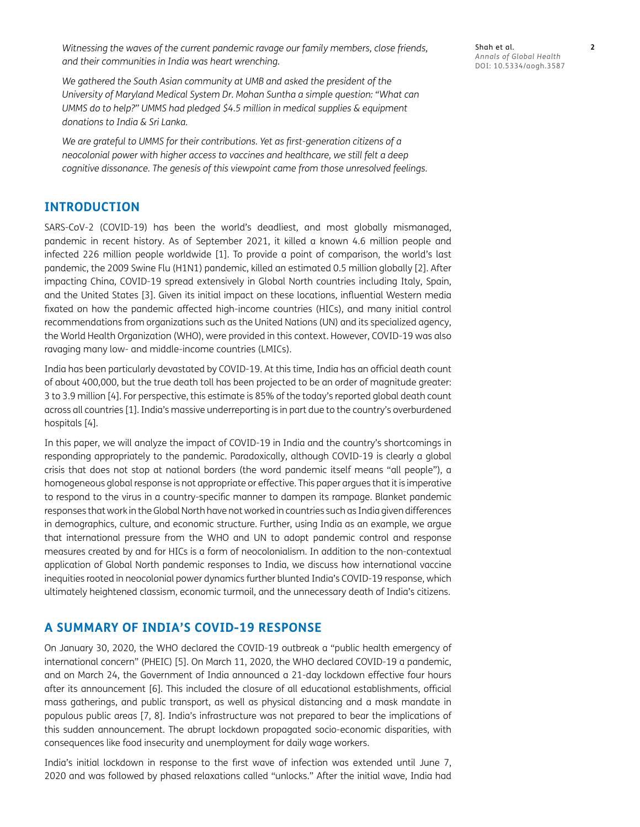*Witnessing the waves of the current pandemic ravage our family members, close friends, and their communities in India was heart wrenching.*

*We gathered the South Asian community at UMB and asked the president of the University of Maryland Medical System Dr. Mohan Suntha a simple question: "What can UMMS do to help?" UMMS had pledged \$4.5 million in medical supplies & equipment donations to India & Sri Lanka.*

*We are grateful to UMMS for their contributions. Yet as first-generation citizens of a neocolonial power with higher access to vaccines and healthcare, we still felt a deep cognitive dissonance. The genesis of this viewpoint came from those unresolved feelings.*

#### **INTRODUCTION**

SARS-CoV-2 (COVID-19) has been the world's deadliest, and most globally mismanaged, pandemic in recent history. As of September 2021, it killed a known 4.6 million people and infected 226 million people worldwide [\[1](#page-6-1)]. To provide a point of comparison, the world's last pandemic, the 2009 Swine Flu (H1N1) pandemic, killed an estimated 0.5 million globally [[2\]](#page-6-1). After impacting China, COVID-19 spread extensively in Global North countries including Italy, Spain, and the United States [\[3\]](#page-6-1). Given its initial impact on these locations, influential Western media fixated on how the pandemic affected high-income countries (HICs), and many initial control recommendations from organizations such as the United Nations (UN) and its specialized agency, the World Health Organization (WHO), were provided in this context. However, COVID-19 was also ravaging many low- and middle-income countries (LMICs).

India has been particularly devastated by COVID-19. At this time, India has an official death count of about 400,000, but the true death toll has been projected to be an order of magnitude greater: 3 to 3.9 million [\[4](#page-6-1)]. For perspective, this estimate is 85% of the today's reported global death count across all countries [[1](#page-6-1)]. India's massive underreporting is in part due to the country's overburdened hospitals [[4\]](#page-6-1).

In this paper, we will analyze the impact of COVID-19 in India and the country's shortcomings in responding appropriately to the pandemic. Paradoxically, although COVID-19 is clearly a global crisis that does not stop at national borders (the word pandemic itself means "all people"), a homogeneous global response is not appropriate or effective. This paper argues that it is imperative to respond to the virus in a country-specific manner to dampen its rampage. Blanket pandemic responses that work in the Global North have not worked in countries such as India given differences in demographics, culture, and economic structure. Further, using India as an example, we argue that international pressure from the WHO and UN to adopt pandemic control and response measures created by and for HICs is a form of neocolonialism. In addition to the non-contextual application of Global North pandemic responses to India, we discuss how international vaccine inequities rooted in neocolonial power dynamics further blunted India's COVID-19 response, which ultimately heightened classism, economic turmoil, and the unnecessary death of India's citizens.

#### **A SUMMARY OF INDIA'S COVID-19 RESPONSE**

On January 30, 2020, the WHO declared the COVID-19 outbreak a "public health emergency of international concern" (PHEIC) [\[5\]](#page-6-1). On March 11, 2020, the WHO declared COVID-19 a pandemic, and on March 24, the Government of India announced a 21-day lockdown effective four hours after its announcement [[6\]](#page-6-1). This included the closure of all educational establishments, official mass gatherings, and public transport, as well as physical distancing and a mask mandate in populous public areas [\[7](#page-6-1), [8\]](#page-6-1). India's infrastructure was not prepared to bear the implications of this sudden announcement. The abrupt lockdown propagated socio-economic disparities, with consequences like food insecurity and unemployment for daily wage workers.

India's initial lockdown in response to the first wave of infection was extended until June 7, 2020 and was followed by phased relaxations called "unlocks." After the initial wave, India had Shah et al. **2** *Annals of Global Health* DOI: [10.5334/aogh.3587](https://doi.org/10.5334/aogh.3587)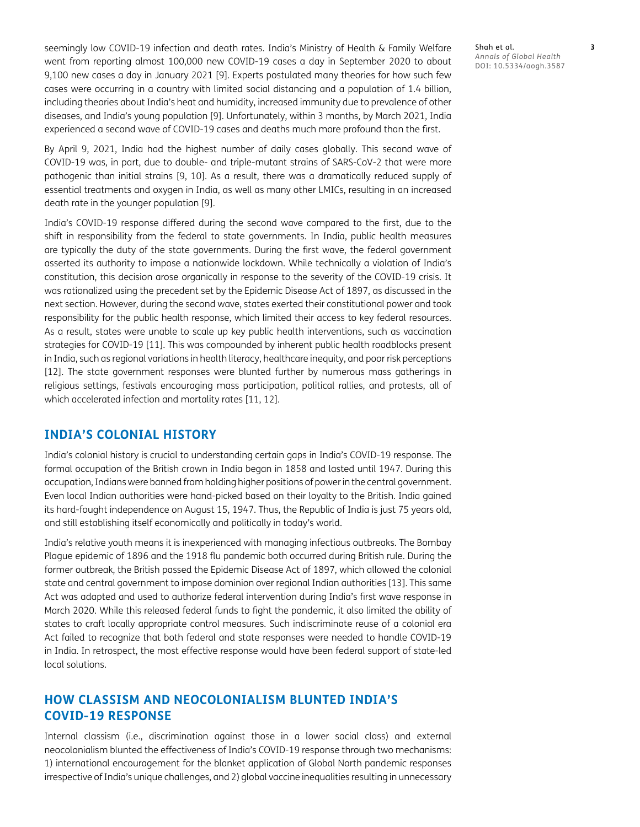seemingly low COVID-19 infection and death rates. India's Ministry of Health & Family Welfare went from reporting almost 100,000 new COVID-19 cases a day in September 2020 to about 9,100 new cases a day in January 2021 [[9\]](#page-6-1). Experts postulated many theories for how such few cases were occurring in a country with limited social distancing and a population of 1.4 billion, including theories about India's heat and humidity, increased immunity due to prevalence of other diseases, and India's young population [\[9](#page-6-1)]. Unfortunately, within 3 months, by March 2021, India experienced a second wave of COVID-19 cases and deaths much more profound than the first.

By April 9, 2021, India had the highest number of daily cases globally. This second wave of COVID-19 was, in part, due to double- and triple-mutant strains of SARS-CoV-2 that were more pathogenic than initial strains [[9,](#page-6-1) [10\]](#page-7-0). As a result, there was a dramatically reduced supply of essential treatments and oxygen in India, as well as many other LMICs, resulting in an increased death rate in the younger population [[9\]](#page-6-1).

India's COVID-19 response differed during the second wave compared to the first, due to the shift in responsibility from the federal to state governments. In India, public health measures are typically the duty of the state governments. During the first wave, the federal government asserted its authority to impose a nationwide lockdown. While technically a violation of India's constitution, this decision arose organically in response to the severity of the COVID-19 crisis. It was rationalized using the precedent set by the Epidemic Disease Act of 1897, as discussed in the next section. However, during the second wave, states exerted their constitutional power and took responsibility for the public health response, which limited their access to key federal resources. As a result, states were unable to scale up key public health interventions, such as vaccination strategies for COVID-19 [[11\]](#page-7-0). This was compounded by inherent public health roadblocks present in India, such as regional variations in health literacy, healthcare inequity, and poor risk perceptions [\[12\]](#page-7-0). The state government responses were blunted further by numerous mass gatherings in religious settings, festivals encouraging mass participation, political rallies, and protests, all of which accelerated infection and mortality rates [[11, 12\]](#page-7-0).

#### **INDIA'S COLONIAL HISTORY**

India's colonial history is crucial to understanding certain gaps in India's COVID-19 response. The formal occupation of the British crown in India began in 1858 and lasted until 1947. During this occupation, Indians were banned from holding higher positions of power in the central government. Even local Indian authorities were hand-picked based on their loyalty to the British. India gained its hard-fought independence on August 15, 1947. Thus, the Republic of India is just 75 years old, and still establishing itself economically and politically in today's world.

India's relative youth means it is inexperienced with managing infectious outbreaks. The Bombay Plague epidemic of 1896 and the 1918 flu pandemic both occurred during British rule. During the former outbreak, the British passed the Epidemic Disease Act of 1897, which allowed the colonial state and central government to impose dominion over regional Indian authorities [[13\]](#page-7-0). This same Act was adapted and used to authorize federal intervention during India's first wave response in March 2020. While this released federal funds to fight the pandemic, it also limited the ability of states to craft locally appropriate control measures. Such indiscriminate reuse of a colonial era Act failed to recognize that both federal and state responses were needed to handle COVID-19 in India. In retrospect, the most effective response would have been federal support of state-led local solutions.

# **HOW CLASSISM AND NEOCOLONIALISM BLUNTED INDIA'S COVID-19 RESPONSE**

Internal classism (i.e., discrimination against those in a lower social class) and external neocolonialism blunted the effectiveness of India's COVID-19 response through two mechanisms: 1) international encouragement for the blanket application of Global North pandemic responses irrespective of India's unique challenges, and 2) global vaccine inequalities resulting in unnecessary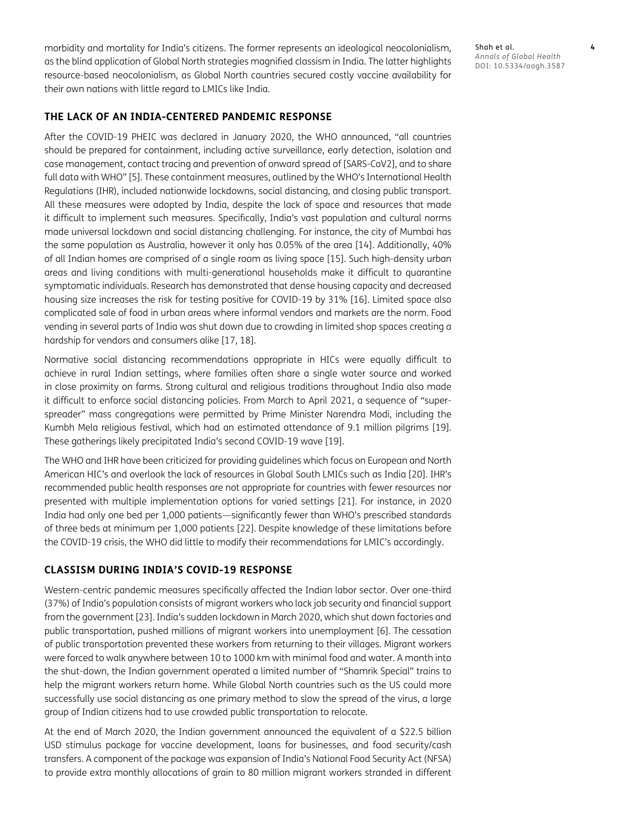morbidity and mortality for India's citizens. The former represents an ideological neocolonialism, as the blind application of Global North strategies magnified classism in India. The latter highlights resource-based neocolonialism, as Global North countries secured costly vaccine availability for their own nations with little regard to LMICs like India.

**THE LACK OF AN INDIA-CENTERED PANDEMIC RESPONSE**

After the COVID-19 PHEIC was declared in January 2020, the WHO announced, "all countries should be prepared for containment, including active surveillance, early detection, isolation and case management, contact tracing and prevention of onward spread of [SARS-CoV2], and to share full data with WHO" [\[5](#page-6-1)]. These containment measures, outlined by the WHO's International Health Regulations (IHR), included nationwide lockdowns, social distancing, and closing public transport. All these measures were adopted by India, despite the lack of space and resources that made it difficult to implement such measures. Specifically, India's vast population and cultural norms made universal lockdown and social distancing challenging. For instance, the city of Mumbai has the same population as Australia, however it only has 0.05% of the area [[14](#page-7-0)]. Additionally, 40% of all Indian homes are comprised of a single room as living space [[15](#page-7-0)]. Such high-density urban areas and living conditions with multi-generational households make it difficult to quarantine symptomatic individuals. Research has demonstrated that dense housing capacity and decreased housing size increases the risk for testing positive for COVID-19 by 31% [\[16\]](#page-7-0). Limited space also complicated sale of food in urban areas where informal vendors and markets are the norm. Food vending in several parts of India was shut down due to crowding in limited shop spaces creating a hardship for vendors and consumers alike [[17](#page-7-0), [18\]](#page-7-0).

Normative social distancing recommendations appropriate in HICs were equally difficult to achieve in rural Indian settings, where families often share a single water source and worked in close proximity on farms. Strong cultural and religious traditions throughout India also made it difficult to enforce social distancing policies. From March to April 2021, a sequence of "superspreader" mass congregations were permitted by Prime Minister Narendra Modi, including the Kumbh Mela religious festival, which had an estimated attendance of 9.1 million pilgrims [[19\]](#page-7-0). These gatherings likely precipitated India's second COVID-19 wave [\[19](#page-7-0)].

The WHO and IHR have been criticized for providing guidelines which focus on European and North American HIC's and overlook the lack of resources in Global South LMICs such as India [[20](#page-7-0)]. IHR's recommended public health responses are not appropriate for countries with fewer resources nor presented with multiple implementation options for varied settings [\[21\]](#page-7-0). For instance, in 2020 India had only one bed per 1,000 patients—significantly fewer than WHO's prescribed standards of three beds at minimum per 1,000 patients [[22](#page-7-0)]. Despite knowledge of these limitations before the COVID-19 crisis, the WHO did little to modify their recommendations for LMIC's accordingly.

#### **CLASSISM DURING INDIA'S COVID-19 RESPONSE**

Western-centric pandemic measures specifically affected the Indian labor sector. Over one-third (37%) of India's population consists of migrant workers who lack job security and financial support from the government [[23](#page-7-0)]. India's sudden lockdown in March 2020, which shut down factories and public transportation, pushed millions of migrant workers into unemployment [[6\]](#page-6-1). The cessation of public transportation prevented these workers from returning to their villages. Migrant workers were forced to walk anywhere between 10 to 1000 km with minimal food and water. A month into the shut-down, the Indian government operated a limited number of "Shamrik Special" trains to help the migrant workers return home. While Global North countries such as the US could more successfully use social distancing as one primary method to slow the spread of the virus, a large group of Indian citizens had to use crowded public transportation to relocate.

At the end of March 2020, the Indian government announced the equivalent of a \$22.5 billion USD stimulus package for vaccine development, loans for businesses, and food security/cash transfers. A component of the package was expansion of India's National Food Security Act (NFSA) to provide extra monthly allocations of grain to 80 million migrant workers stranded in different

Shah et al. **4** *Annals of Global Health* DOI: 10.5334/aogh.3587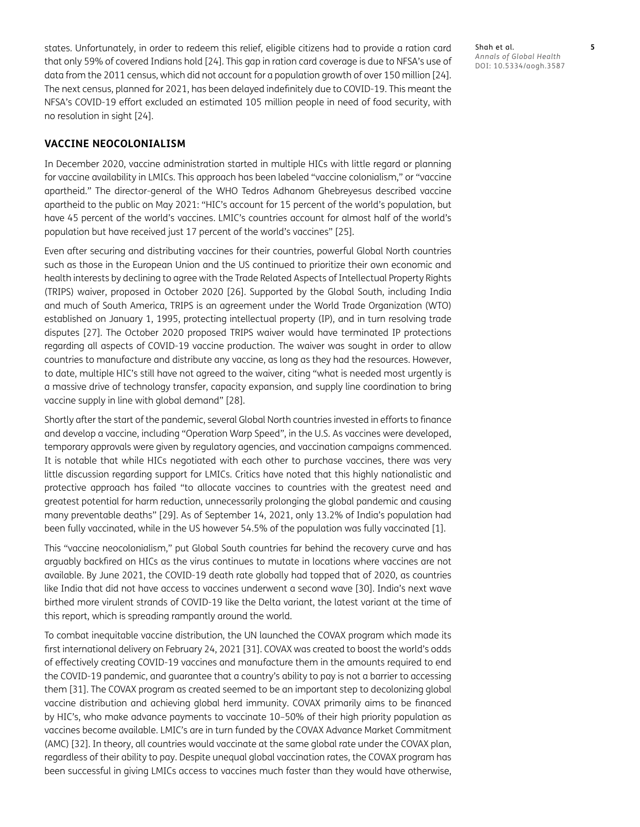states. Unfortunately, in order to redeem this relief, eligible citizens had to provide a ration card that only 59% of covered Indians hold [[24](#page-7-0)]. This gap in ration card coverage is due to NFSA's use of data from the 2011 census, which did not account for a population growth of over 150 million [[24\]](#page-7-0). The next census, planned for 2021, has been delayed indefinitely due to COVID-19. This meant the NFSA's COVID-19 effort excluded an estimated 105 million people in need of food security, with no resolution in sight [[24\]](#page-7-0).

#### **VACCINE NEOCOLONIALISM**

In December 2020, vaccine administration started in multiple HICs with little regard or planning for vaccine availability in LMICs. This approach has been labeled "vaccine colonialism," or "vaccine apartheid." The director-general of the WHO Tedros Adhanom Ghebreyesus described vaccine apartheid to the public on May 2021: "HIC's account for 15 percent of the world's population, but have 45 percent of the world's vaccines. LMIC's countries account for almost half of the world's population but have received just 17 percent of the world's vaccines" [[25](#page-7-0)].

Even after securing and distributing vaccines for their countries, powerful Global North countries such as those in the European Union and the US continued to prioritize their own economic and health interests by declining to agree with the Trade Related Aspects of Intellectual Property Rights (TRIPS) waiver, proposed in October 2020 [\[26](#page-7-0)]. Supported by the Global South, including India and much of South America, TRIPS is an agreement under the World Trade Organization (WTO) established on January 1, 1995, protecting intellectual property (IP), and in turn resolving trade disputes [[27\]](#page-7-0). The October 2020 proposed TRIPS waiver would have terminated IP protections regarding all aspects of COVID-19 vaccine production. The waiver was sought in order to allow countries to manufacture and distribute any vaccine, as long as they had the resources. However, to date, multiple HIC's still have not agreed to the waiver, citing "what is needed most urgently is a massive drive of technology transfer, capacity expansion, and supply line coordination to bring vaccine supply in line with global demand" [\[28](#page-7-0)].

Shortly after the start of the pandemic, several Global North countries invested in efforts to finance and develop a vaccine, including "Operation Warp Speed", in the U.S. As vaccines were developed, temporary approvals were given by regulatory agencies, and vaccination campaigns commenced. It is notable that while HICs negotiated with each other to purchase vaccines, there was very little discussion regarding support for LMICs. Critics have noted that this highly nationalistic and protective approach has failed "to allocate vaccines to countries with the greatest need and greatest potential for harm reduction, unnecessarily prolonging the global pandemic and causing many preventable deaths" [\[29\]](#page-7-0). As of September 14, 2021, only 13.2% of India's population had been fully vaccinated, while in the US however 54.5% of the population was fully vaccinated [\[1\]](#page-6-1).

This "vaccine neocolonialism," put Global South countries far behind the recovery curve and has arguably backfired on HICs as the virus continues to mutate in locations where vaccines are not available. By June 2021, the COVID-19 death rate globally had topped that of 2020, as countries like India that did not have access to vaccines underwent a second wave [\[30](#page-7-0)]. India's next wave birthed more virulent strands of COVID-19 like the Delta variant, the latest variant at the time of this report, which is spreading rampantly around the world.

To combat inequitable vaccine distribution, the UN launched the COVAX program which made its first international delivery on February 24, 2021 [\[31\]](#page-7-0). COVAX was created to boost the world's odds of effectively creating COVID-19 vaccines and manufacture them in the amounts required to end the COVID-19 pandemic, and guarantee that a country's ability to pay is not a barrier to accessing them [\[31\]](#page-7-0). The COVAX program as created seemed to be an important step to decolonizing global vaccine distribution and achieving global herd immunity. COVAX primarily aims to be financed by HIC's, who make advance payments to vaccinate 10–50% of their high priority population as vaccines become available. LMIC's are in turn funded by the COVAX Advance Market Commitment (AMC) [\[32\]](#page-7-0). In theory, all countries would vaccinate at the same global rate under the COVAX plan, regardless of their ability to pay. Despite unequal global vaccination rates, the COVAX program has been successful in giving LMICs access to vaccines much faster than they would have otherwise,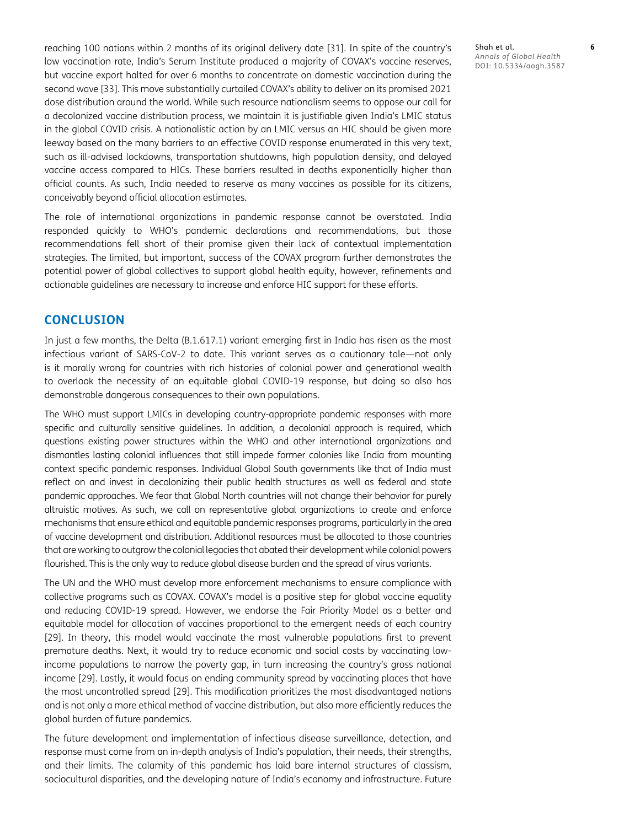reaching 100 nations within 2 months of its original delivery date [[31](#page-7-0)]. In spite of the country's low vaccination rate, India's Serum Institute produced a majority of COVAX's vaccine reserves, but vaccine export halted for over 6 months to concentrate on domestic vaccination during the second wave [\[33\]](#page-7-0). This move substantially curtailed COVAX's ability to deliver on its promised 2021 dose distribution around the world. While such resource nationalism seems to oppose our call for a decolonized vaccine distribution process, we maintain it is justifiable given India's LMIC status in the global COVID crisis. A nationalistic action by an LMIC versus an HIC should be given more leeway based on the many barriers to an effective COVID response enumerated in this very text, such as ill-advised lockdowns, transportation shutdowns, high population density, and delayed vaccine access compared to HICs. These barriers resulted in deaths exponentially higher than official counts. As such, India needed to reserve as many vaccines as possible for its citizens, conceivably beyond official allocation estimates.

The role of international organizations in pandemic response cannot be overstated. India responded quickly to WHO's pandemic declarations and recommendations, but those recommendations fell short of their promise given their lack of contextual implementation strategies. The limited, but important, success of the COVAX program further demonstrates the potential power of global collectives to support global health equity, however, refinements and actionable guidelines are necessary to increase and enforce HIC support for these efforts.

#### **CONCLUSION**

In just a few months, the Delta (B.1.617.1) variant emerging first in India has risen as the most infectious variant of SARS-CoV-2 to date. This variant serves as a cautionary tale—not only is it morally wrong for countries with rich histories of colonial power and generational wealth to overlook the necessity of an equitable global COVID-19 response, but doing so also has demonstrable dangerous consequences to their own populations.

The WHO must support LMICs in developing country-appropriate pandemic responses with more specific and culturally sensitive guidelines. In addition, a decolonial approach is required, which questions existing power structures within the WHO and other international organizations and dismantles lasting colonial influences that still impede former colonies like India from mounting context specific pandemic responses. Individual Global South governments like that of India must reflect on and invest in decolonizing their public health structures as well as federal and state pandemic approaches. We fear that Global North countries will not change their behavior for purely altruistic motives. As such, we call on representative global organizations to create and enforce mechanisms that ensure ethical and equitable pandemic responses programs, particularly in the area of vaccine development and distribution. Additional resources must be allocated to those countries that are working to outgrow the colonial legacies that abated their development while colonial powers flourished. This is the only way to reduce global disease burden and the spread of virus variants.

The UN and the WHO must develop more enforcement mechanisms to ensure compliance with collective programs such as COVAX. COVAX's model is a positive step for global vaccine equality and reducing COVID-19 spread. However, we endorse the Fair Priority Model as a better and equitable model for allocation of vaccines proportional to the emergent needs of each country [\[29\]](#page-7-0). In theory, this model would vaccinate the most vulnerable populations first to prevent premature deaths. Next, it would try to reduce economic and social costs by vaccinating lowincome populations to narrow the poverty gap, in turn increasing the country's gross national income [[29](#page-7-0)]. Lastly, it would focus on ending community spread by vaccinating places that have the most uncontrolled spread [[29](#page-7-0)]. This modification prioritizes the most disadvantaged nations and is not only a more ethical method of vaccine distribution, but also more efficiently reduces the global burden of future pandemics.

The future development and implementation of infectious disease surveillance, detection, and response must come from an in-depth analysis of India's population, their needs, their strengths, and their limits. The calamity of this pandemic has laid bare internal structures of classism, sociocultural disparities, and the developing nature of India's economy and infrastructure. Future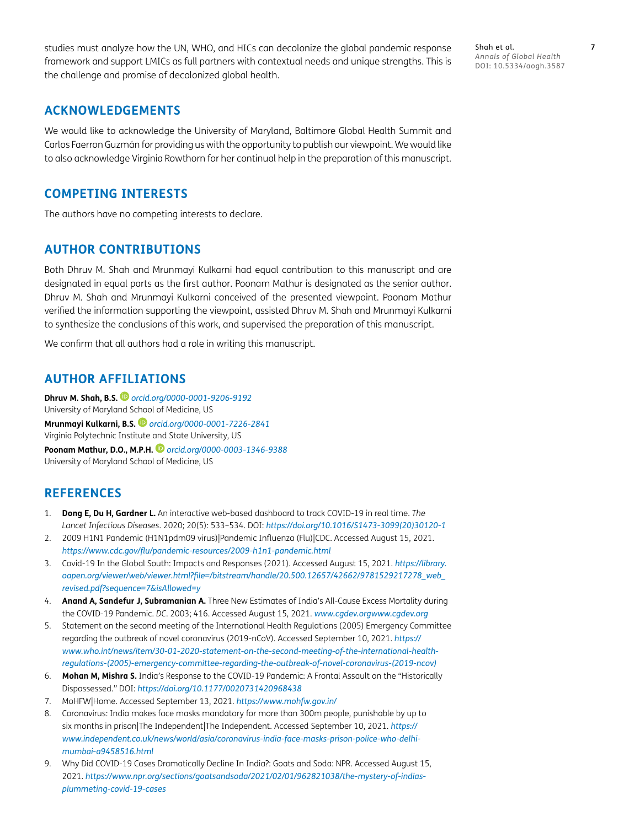<span id="page-6-1"></span>studies must analyze how the UN, WHO, and HICs can decolonize the global pandemic response framework and support LMICs as full partners with contextual needs and unique strengths. This is the challenge and promise of decolonized global health.

Shah et al. **7** *Annals of Global Health* DOI: 10.5334/aogh.3587

## **ACKNOWLEDGEMENTS**

We would like to acknowledge the University of Maryland, Baltimore Global Health Summit and Carlos Faerron Guzmán for providing us with the opportunity to publish our viewpoint. We would like to also acknowledge Virginia Rowthorn for her continual help in the preparation of this manuscript.

#### **COMPETING INTERESTS**

The authors have no competing interests to declare.

#### **AUTHOR CONTRIBUTIONS**

Both Dhruv M. Shah and Mrunmayi Kulkarni had equal contribution to this manuscript and are designated in equal parts as the first author. Poonam Mathur is designated as the senior author. Dhruv M. Shah and Mrunmayi Kulkarni conceived of the presented viewpoint. Poonam Mathur verified the information supporting the viewpoint, assisted Dhruv M. Shah and Mrunmayi Kulkarni to synthesize the conclusions of this work, and supervised the preparation of this manuscript.

We confirm that all authors had a role in writing this manuscript.

## <span id="page-6-0"></span>**AUTHOR AFFILIATIONS**

**Dhruv M. Shah, B.S.** *[orcid.org/0000-0001-9206-9192](https://orcid.org/0000-0001-9206-9192)* University of Maryland School of Medicine, US **Mrunmayi Kulkarni, B.S.** *[orcid.org/0000-0001-7226-2841](https://orcid.org/0000-0001-7226-2841)* Virginia Polytechnic Institute and State University, US **Poonam Mathur, D.O., M.P.H.** *[orcid.org/0000-0003-1346-9388](https://orcid.org/0000-0003-1346-9388)* University of Maryland School of Medicine, US

## **REFERENCES**

- 1. **Dong E, Du H, Gardner L.** An interactive web-based dashboard to track COVID-19 in real time. *The Lancet Infectious Diseases*. 2020; 20(5): 533–534. DOI: *[https://doi.org/10.1016/S1473-3099\(20\)30120-1](https://doi.org/10.1016/S1473-3099(20)30120-1)*
- 2. 2009 H1N1 Pandemic (H1N1pdm09 virus)|Pandemic Influenza (Flu)|CDC. Accessed August 15, 2021. *<https://www.cdc.gov/flu/pandemic-resources/2009-h1n1-pandemic.html>*
- 3. Covid-19 In the Global South: Impacts and Responses (2021). Accessed August 15, 2021. *[https://library.](https://library.oapen.org/viewer/web/viewer.html?file=/bitstream/handle/20.500.12657/42662/9781529217278_web_revised.pdf?sequence=7&isAllowed=y) [oapen.org/viewer/web/viewer.html?file=/bitstream/handle/20.500.12657/42662/9781529217278\\_web\\_](https://library.oapen.org/viewer/web/viewer.html?file=/bitstream/handle/20.500.12657/42662/9781529217278_web_revised.pdf?sequence=7&isAllowed=y) [revised.pdf?sequence=7&isAllowed=y](https://library.oapen.org/viewer/web/viewer.html?file=/bitstream/handle/20.500.12657/42662/9781529217278_web_revised.pdf?sequence=7&isAllowed=y)*
- 4. **Anand A, Sandefur J, Subramanian A.** Three New Estimates of India's All-Cause Excess Mortality during the COVID-19 Pandemic. *DC*. 2003; 416. Accessed August 15, 2021. *[www.cgdev.orgwww.cgdev.org](http://www.cgdev.orgwww.cgdev.org)*
- 5. Statement on the second meeting of the International Health Regulations (2005) Emergency Committee regarding the outbreak of novel coronavirus (2019-nCoV). Accessed September 10, 2021. *[https://](https://www.who.int/news/item/30-01-2020-statement-on-the-second-meeting-of-the-international-health-regulations-(2005)-emergency-committee-regarding-the-outbreak-of-novel-coronavirus-(2019-ncov)) [www.who.int/news/item/30-01-2020-statement-on-the-second-meeting-of-the-international-health](https://www.who.int/news/item/30-01-2020-statement-on-the-second-meeting-of-the-international-health-regulations-(2005)-emergency-committee-regarding-the-outbreak-of-novel-coronavirus-(2019-ncov))[regulations-\(2005\)-emergency-committee-regarding-the-outbreak-of-novel-coronavirus-\(2019-ncov\)](https://www.who.int/news/item/30-01-2020-statement-on-the-second-meeting-of-the-international-health-regulations-(2005)-emergency-committee-regarding-the-outbreak-of-novel-coronavirus-(2019-ncov))*
- 6. **Mohan M, Mishra S.** India's Response to the COVID-19 Pandemic: A Frontal Assault on the "Historically Dispossessed." DOI: *<https://doi.org/10.1177/0020731420968438>*
- 7. MoHFW|Home. Accessed September 13, 2021. *<https://www.mohfw.gov.in/>*
- 8. Coronavirus: India makes face masks mandatory for more than 300m people, punishable by up to six months in prison|The Independent|The Independent. Accessed September 10, 2021. *[https://](https://www.independent.co.uk/news/world/asia/coronavirus-india-face-masks-prison-police-who-delhi-mumbai-a9458516.html) [www.independent.co.uk/news/world/asia/coronavirus-india-face-masks-prison-police-who-delhi](https://www.independent.co.uk/news/world/asia/coronavirus-india-face-masks-prison-police-who-delhi-mumbai-a9458516.html)[mumbai-a9458516.html](https://www.independent.co.uk/news/world/asia/coronavirus-india-face-masks-prison-police-who-delhi-mumbai-a9458516.html)*
- 9. Why Did COVID-19 Cases Dramatically Decline In India?: Goats and Soda: NPR. Accessed August 15, 2021. *[https://www.npr.org/sections/goatsandsoda/2021/02/01/962821038/the-mystery-of-indias](https://www.npr.org/sections/goatsandsoda/2021/02/01/962821038/the-mystery-of-indias-plummeting-covid-19-cases)[plummeting-covid-19-cases](https://www.npr.org/sections/goatsandsoda/2021/02/01/962821038/the-mystery-of-indias-plummeting-covid-19-cases)*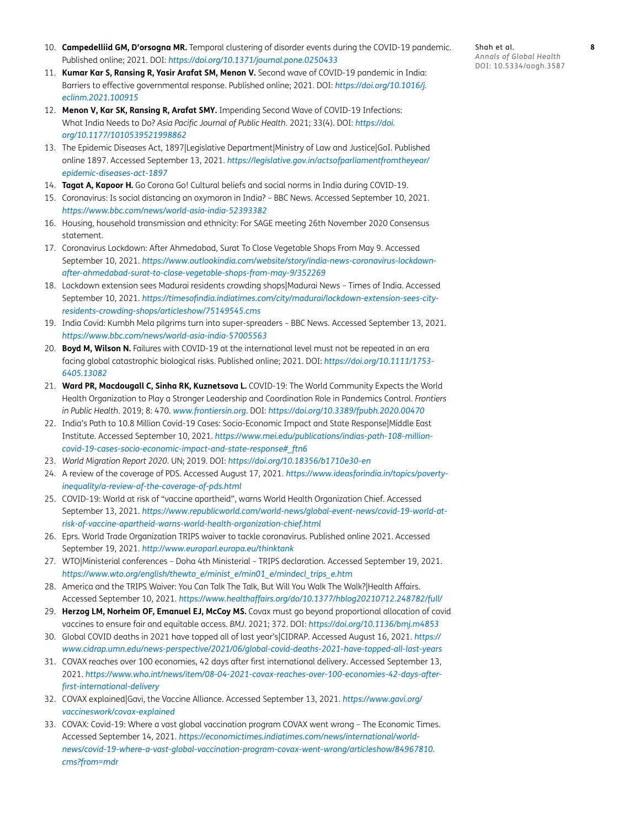- <span id="page-7-0"></span>10. **Campedelliid GM, D'orsogna MR.** Temporal clustering of disorder events during the COVID-19 pandemic. Published online; 2021. DOI: *<https://doi.org/10.1371/journal.pone.0250433>*
- 11. **Kumar Kar S, Ransing R, Yasir Arafat SM, Menon V.** Second wave of COVID-19 pandemic in India: Barriers to effective governmental response. Published online; 2021. DOI: *[https://doi.org/10.1016/j.](https://doi.org/10.1016/j.eclinm.2021.100915) [eclinm.2021.100915](https://doi.org/10.1016/j.eclinm.2021.100915)*
- 12. **Menon V, Kar SK, Ransing R, Arafat SMY.** Impending Second Wave of COVID-19 Infections: What India Needs to Do? *Asia Pacific Journal of Public Health*. 2021; 33(4). DOI: *[https://doi.](https://doi.org/10.1177/1010539521998862) [org/10.1177/1010539521998862](https://doi.org/10.1177/1010539521998862)*
- 13. The Epidemic Diseases Act, 1897|Legislative Department|Ministry of Law and Justice|GoI. Published online 1897. Accessed September 13, 2021. *[https://legislative.gov.in/actsofparliamentfromtheyear/](https://legislative.gov.in/actsofparliamentfromtheyear/epidemic-diseases-act-1897) [epidemic-diseases-act-1897](https://legislative.gov.in/actsofparliamentfromtheyear/epidemic-diseases-act-1897)*
- 14. **Tagat A, Kapoor H.** Go Corona Go! Cultural beliefs and social norms in India during COVID-19.
- 15. Coronavirus: Is social distancing an oxymoron in India? BBC News. Accessed September 10, 2021. *<https://www.bbc.com/news/world-asia-india-52393382>*
- 16. Housing, household transmission and ethnicity: For SAGE meeting 26th November 2020 Consensus statement.
- 17. Coronavirus Lockdown: After Ahmedabad, Surat To Close Vegetable Shops From May 9. Accessed September 10, 2021. *[https://www.outlookindia.com/website/story/india-news-coronavirus-lockdown](https://www.outlookindia.com/website/story/india-news-coronavirus-lockdown-after-ahmedabad-surat-to-close-vegetable-shops-from-may-9/352269)[after-ahmedabad-surat-to-close-vegetable-shops-from-may-9/352269](https://www.outlookindia.com/website/story/india-news-coronavirus-lockdown-after-ahmedabad-surat-to-close-vegetable-shops-from-may-9/352269)*
- 18. Lockdown extension sees Madurai residents crowding shops|Madurai News Times of India. Accessed September 10, 2021. *[https://timesofindia.indiatimes.com/city/madurai/lockdown-extension-sees-city](https://timesofindia.indiatimes.com/city/madurai/lockdown-extension-sees-city-residents-crowding-shops/articleshow/75149545.cms)[residents-crowding-shops/articleshow/75149545.cms](https://timesofindia.indiatimes.com/city/madurai/lockdown-extension-sees-city-residents-crowding-shops/articleshow/75149545.cms)*
- 19. India Covid: Kumbh Mela pilgrims turn into super-spreaders BBC News. Accessed September 13, 2021. *<https://www.bbc.com/news/world-asia-india-57005563>*
- 20. **Boyd M, Wilson N.** Failures with COVID-19 at the international level must not be repeated in an era facing global catastrophic biological risks. Published online; 2021. DOI: *[https://doi.org/10.1111/1753-](https://doi.org/10.1111/1753-6405.13082) [6405.13082](https://doi.org/10.1111/1753-6405.13082)*
- 21. **Ward PR, Macdougall C, Sinha RK, Kuznetsova L.** COVID-19: The World Community Expects the World Health Organization to Play a Stronger Leadership and Coordination Role in Pandemics Control. *Frontiers in Public Health*. 2019; 8: 470. *[www.frontiersin.org](http://www.frontiersin.org)*. DOI: *<https://doi.org/10.3389/fpubh.2020.00470>*
- 22. India's Path to 10.8 Million Covid-19 Cases: Socio-Economic Impact and State Response|Middle East Institute. Accessed September 10, 2021. *[https://www.mei.edu/publications/indias-path-108-million](https://www.mei.edu/publications/indias-path-108-million-covid-19-cases-socio-economic-impact-and-state-response#_ftn6)[covid-19-cases-socio-economic-impact-and-state-response#\\_ftn6](https://www.mei.edu/publications/indias-path-108-million-covid-19-cases-socio-economic-impact-and-state-response#_ftn6)*
- 23. *World Migration Report 2020*. UN; 2019. DOI: *<https://doi.org/10.18356/b1710e30-en>*
- 24. A review of the coverage of PDS. Accessed August 17, 2021. *[https://www.ideasforindia.in/topics/poverty](https://www.ideasforindia.in/topics/poverty-inequality/a-review-of-the-coverage-of-pds.html)[inequality/a-review-of-the-coverage-of-pds.html](https://www.ideasforindia.in/topics/poverty-inequality/a-review-of-the-coverage-of-pds.html)*
- 25. COVID-19: World at risk of "vaccine apartheid", warns World Health Organization Chief. Accessed September 13, 2021. *[https://www.republicworld.com/world-news/global-event-news/covid-19-world-at](https://www.republicworld.com/world-news/global-event-news/covid-19-world-at-risk-of-vaccine-apartheid-warns-world-health-organization-chief.html)[risk-of-vaccine-apartheid-warns-world-health-organization-chief.html](https://www.republicworld.com/world-news/global-event-news/covid-19-world-at-risk-of-vaccine-apartheid-warns-world-health-organization-chief.html)*
- 26. Eprs. World Trade Organization TRIPS waiver to tackle coronavirus. Published online 2021. Accessed September 19, 2021. *<http://www.europarl.europa.eu/thinktank>*
- 27. WTO|Ministerial conferences Doha 4th Ministerial TRIPS declaration. Accessed September 19, 2021. *[https://www.wto.org/english/thewto\\_e/minist\\_e/min01\\_e/mindecl\\_trips\\_e.htm](https://www.wto.org/english/thewto_e/minist_e/min01_e/mindecl_trips_e.htm)*
- 28. America and the TRIPS Waiver: You Can Talk The Talk, But Will You Walk The Walk?|Health Affairs. Accessed September 10, 2021. *<https://www.healthaffairs.org/do/10.1377/hblog20210712.248782/full/>*
- 29. **Herzog LM, Norheim OF, Emanuel EJ, McCoy MS.** Covax must go beyond proportional allocation of covid vaccines to ensure fair and equitable access. *BMJ*. 2021; 372. DOI: *<https://doi.org/10.1136/bmj.m4853>*
- 30. Global COVID deaths in 2021 have topped all of last year's|CIDRAP. Accessed August 16, 2021. *[https://](https://www.cidrap.umn.edu/news-perspective/2021/06/global-covid-deaths-2021-have-topped-all-last-years) [www.cidrap.umn.edu/news-perspective/2021/06/global-covid-deaths-2021-have-topped-all-last-years](https://www.cidrap.umn.edu/news-perspective/2021/06/global-covid-deaths-2021-have-topped-all-last-years)*
- 31. COVAX reaches over 100 economies, 42 days after first international delivery. Accessed September 13, 2021. *[https://www.who.int/news/item/08-04-2021-covax-reaches-over-100-economies-42-days-after](https://www.who.int/news/item/08-04-2021-covax-reaches-over-100-economies-42-days-after-first-international-delivery)[first-international-delivery](https://www.who.int/news/item/08-04-2021-covax-reaches-over-100-economies-42-days-after-first-international-delivery)*
- 32. COVAX explained|Gavi, the Vaccine Alliance. Accessed September 13, 2021. *[https://www.gavi.org/](https://www.gavi.org/vaccineswork/covax-explained) [vaccineswork/covax-explained](https://www.gavi.org/vaccineswork/covax-explained)*
- 33. COVAX: Covid-19: Where a vast global vaccination program COVAX went wrong The Economic Times. Accessed September 14, 2021. *[https://economictimes.indiatimes.com/news/international/world](https://economictimes.indiatimes.com/news/international/world-news/covid-19-where-a-vast-global-vaccination-program-covax-went-wrong/articleshow/84967810.cms?from=mdr)[news/covid-19-where-a-vast-global-vaccination-program-covax-went-wrong/articleshow/84967810.](https://economictimes.indiatimes.com/news/international/world-news/covid-19-where-a-vast-global-vaccination-program-covax-went-wrong/articleshow/84967810.cms?from=mdr) [cms?from=mdr](https://economictimes.indiatimes.com/news/international/world-news/covid-19-where-a-vast-global-vaccination-program-covax-went-wrong/articleshow/84967810.cms?from=mdr)*

Shah et al. **8** *Annals of Global Health* DOI: 10.5334/aogh.3587